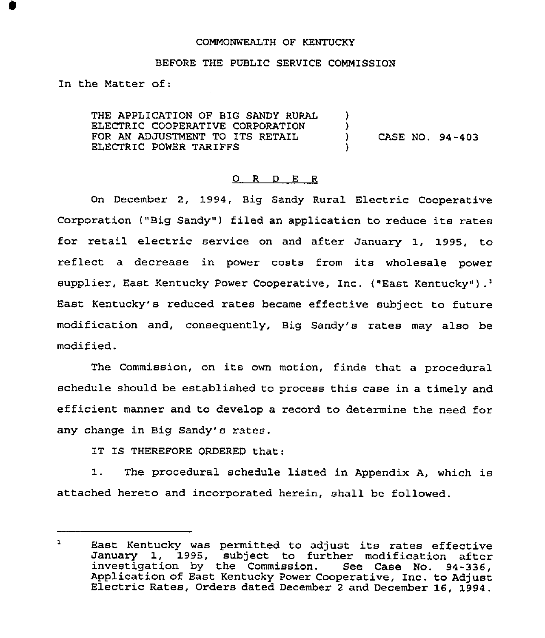### COMMONWEALTH OF KENTUCKY

### BEFORE THE PUBLIC SERVICE COMMISSION

In the Matter of:

THE APPLICATION OF BIG SANDY RURAL ELECTRIC COOPERATIVE CORPORATION FOR AN ADJUSTMENT TO ITS RETAIL ELECTRIC POWER TARIFFS ) )<br>) ) CASE NQ. 94-403 )

### 0 R <sup>D</sup> <sup>E</sup> <sup>R</sup>

On December 2, 1994, Big Sandy Rural Electric Cooperative Corporation ("Big Sandy") filed an application to reduce its rates for retail electric service on and after January 1, 1995, to reflect <sup>a</sup> decrease in power costs from its wholesale power supplier, East Kentucky Power Cooperative, Inc. ("East Kentucky").<sup>1</sup> Kentucky's reduced rates became effective subject to futur modification and, consequently, Big Sandy's rates may also be modified.

The Commission, on its own motion, finds that a procedural schedule should be established to process this case in a timely and efficient manner and to develop a record to determine the need for any change in Big Sandy's rates.

IT IS THEREFORE ORDERED that:

1. The procedural schedule listed in Appendix A, which is attached hereto and incorporated herein, shall be followed.

 $\mathbf{L}$ East Kentucky was permitted to adjust its rates effective January 1, 1995, subject to further modification after investigation by the Commission. See Case No. 94-336, Application of East Kentucky Power Cooperative, Inc. to Adjust Electric Rates, Orders dated December <sup>2</sup> and December 16, 1994.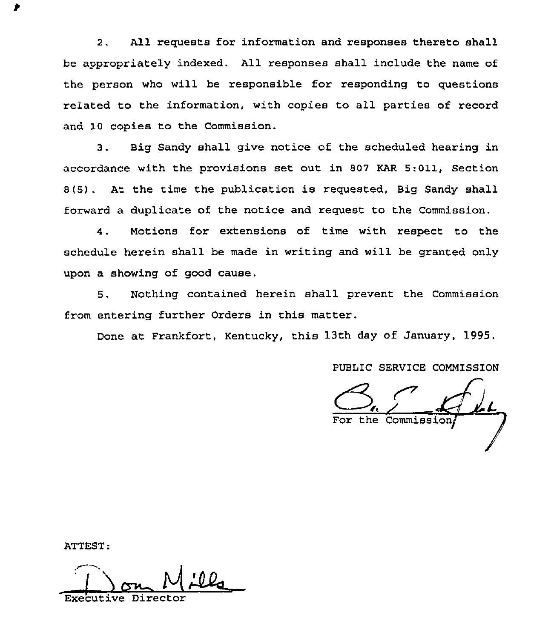2. All requests for information and responses thereto shall be appropriately indexed. All responses shall include the name of the person who will be responsible for responding to questions related to the information, with copies to all parties of record and 10 copies to the Commission.

3. Big Sandy shall give notice of the scheduled hearing in accordance with the provisions set out in 807 KAR 5:011, Section 8(5) . At the time the publication is requested, Big Sandy shall forward a duplicate of the notice and request to the Commission.

4. Motions for extensions of time with respect to the schedule herein shall be made in writing and will be granted only upon a showing of good cause.

5. Nothing contained herein shall prevent the Commission from entering further Orders in this matter.

Done at Frankfort, Kentucky, this 13th day of January, 1995.

PUBLIC SERVICE COMMISSION

the Commissi

ATTEST:

Executive Don Mil Directo: